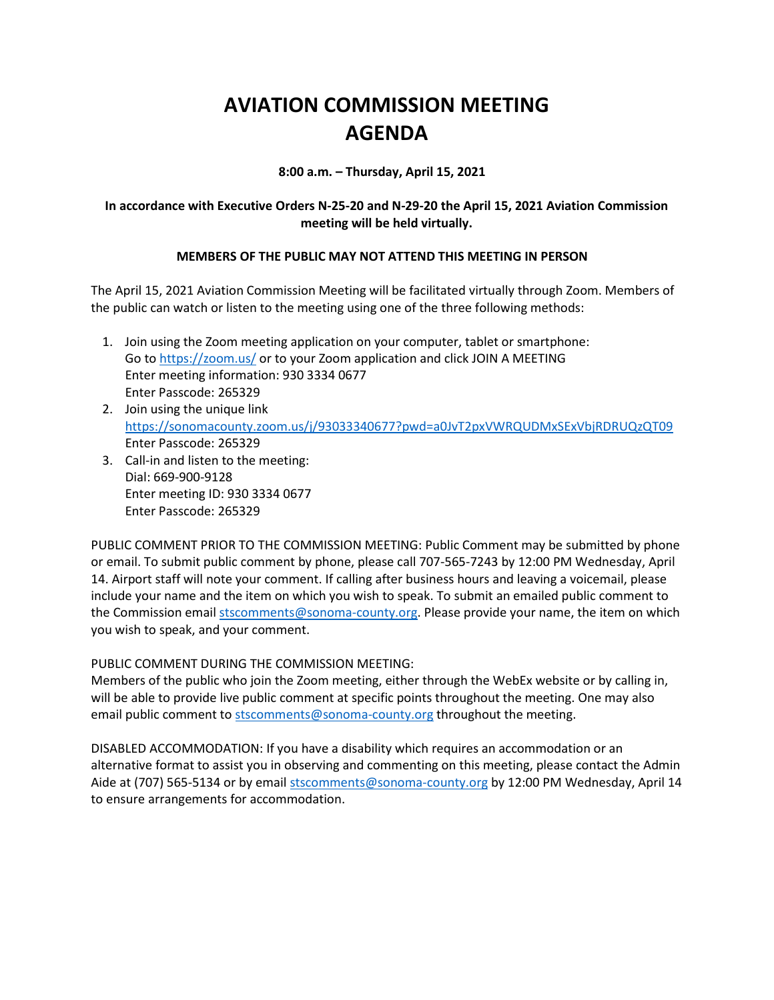# **AVIATION COMMISSION MEETING AGENDA**

**8:00 a.m. – Thursday, April 15, 2021**

# **In accordance with Executive Orders N-25-20 and N-29-20 the April 15, 2021 Aviation Commission meeting will be held virtually.**

# **MEMBERS OF THE PUBLIC MAY NOT ATTEND THIS MEETING IN PERSON**

The April 15, 2021 Aviation Commission Meeting will be facilitated virtually through Zoom. Members of the public can watch or listen to the meeting using one of the three following methods:

- 1. Join using the Zoom meeting application on your computer, tablet or smartphone: Go to<https://zoom.us/> or to your Zoom application and click JOIN A MEETING Enter meeting information: 930 3334 0677 Enter Passcode: 265329
- 2. Join using the unique link <https://sonomacounty.zoom.us/j/93033340677?pwd=a0JvT2pxVWRQUDMxSExVbjRDRUQzQT09> Enter Passcode: 265329
- 3. Call-in and listen to the meeting: Dial: 669-900-9128 Enter meeting ID: 930 3334 0677 Enter Passcode: 265329

PUBLIC COMMENT PRIOR TO THE COMMISSION MEETING: Public Comment may be submitted by phone or email. To submit public comment by phone, please call 707-565-7243 by 12:00 PM Wednesday, April 14. Airport staff will note your comment. If calling after business hours and leaving a voicemail, please include your name and the item on which you wish to speak. To submit an emailed public comment to the Commission emai[l stscomments@sonoma-county.org.](mailto:stscomments@sonoma-county.org) Please provide your name, the item on which you wish to speak, and your comment.

PUBLIC COMMENT DURING THE COMMISSION MEETING:

Members of the public who join the Zoom meeting, either through the WebEx website or by calling in, will be able to provide live public comment at specific points throughout the meeting. One may also email public comment to [stscomments@sonoma-county.org](mailto:stscomments@sonoma-county.org) throughout the meeting.

DISABLED ACCOMMODATION: If you have a disability which requires an accommodation or an alternative format to assist you in observing and commenting on this meeting, please contact the Admin Aide at (707) 565-5134 or by email [stscomments@sonoma-county.org](mailto:stscomments@sonoma-county.org) by 12:00 PM Wednesday, April 14 to ensure arrangements for accommodation.